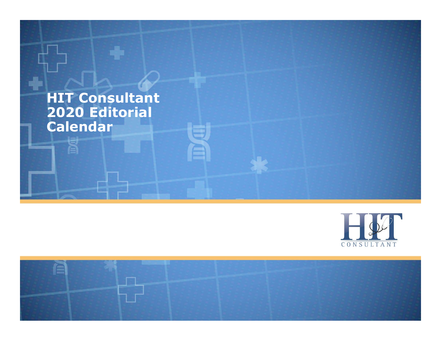### HIT Consultant 2020 Editorial Calendar



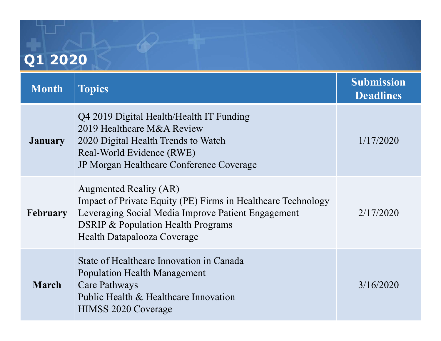## Q1 2020

| Q1 2020         |                                                                                                                                                                                                                                     |                                       |  |  |
|-----------------|-------------------------------------------------------------------------------------------------------------------------------------------------------------------------------------------------------------------------------------|---------------------------------------|--|--|
| <b>Month</b>    | <b>Topics</b>                                                                                                                                                                                                                       | <b>Submission</b><br><b>Deadlines</b> |  |  |
| <b>January</b>  | Q4 2019 Digital Health/Health IT Funding<br>2019 Healthcare M&A Review<br>2020 Digital Health Trends to Watch<br>Real-World Evidence (RWE)<br>JP Morgan Healthcare Conference Coverage                                              | 1/17/2020                             |  |  |
| <b>February</b> | <b>Augmented Reality (AR)</b><br>Impact of Private Equity (PE) Firms in Healthcare Technology<br>Leveraging Social Media Improve Patient Engagement<br><b>DSRIP &amp; Population Health Programs</b><br>Health Datapalooza Coverage | 2/17/2020                             |  |  |
| <b>March</b>    | State of Healthcare Innovation in Canada<br>Population Health Management<br><b>Care Pathways</b><br>Public Health & Healthcare Innovation<br><b>HIMSS 2020 Coverage</b>                                                             | 3/16/2020                             |  |  |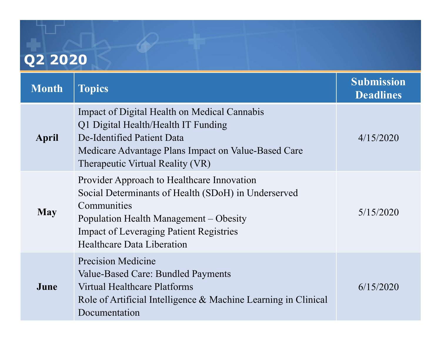# Q2 2020

| <b>Month</b> | <b>Topics</b>                                                                                                                                                                                                                                     | <b>Submission</b>             |
|--------------|---------------------------------------------------------------------------------------------------------------------------------------------------------------------------------------------------------------------------------------------------|-------------------------------|
| April        | Impact of Digital Health on Medical Cannabis<br>Q1 Digital Health/Health IT Funding<br>De-Identified Patient Data<br>Medicare Advantage Plans Impact on Value-Based Care<br>Therapeutic Virtual Reality (VR)                                      | <b>Deadlines</b><br>4/15/2020 |
| <b>May</b>   | Provider Approach to Healthcare Innovation<br>Social Determinants of Health (SDoH) in Underserved<br>Communities<br>Population Health Management - Obesity<br><b>Impact of Leveraging Patient Registries</b><br><b>Healthcare Data Liberation</b> | 5/15/2020                     |
| June         | <b>Precision Medicine</b><br>Value-Based Care: Bundled Payments<br><b>Virtual Healthcare Platforms</b><br>Role of Artificial Intelligence & Machine Learning in Clinical<br>Documentation                                                         | 6/15/2020                     |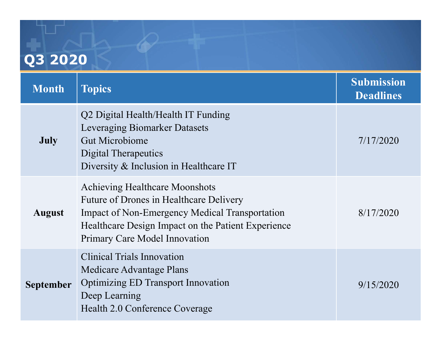# Q3 2020

| Q3 2020          |                                                                                                                                                                                                                                  |                                       |  |  |
|------------------|----------------------------------------------------------------------------------------------------------------------------------------------------------------------------------------------------------------------------------|---------------------------------------|--|--|
| <b>Month</b>     | <b>Topics</b>                                                                                                                                                                                                                    | <b>Submission</b><br><b>Deadlines</b> |  |  |
| <b>July</b>      | Q2 Digital Health/Health IT Funding<br>Leveraging Biomarker Datasets<br><b>Gut Microbiome</b><br>Digital Therapeutics<br>Diversity & Inclusion in Healthcare IT                                                                  | 7/17/2020                             |  |  |
| <b>August</b>    | <b>Achieving Healthcare Moonshots</b><br>Future of Drones in Healthcare Delivery<br><b>Impact of Non-Emergency Medical Transportation</b><br>Healthcare Design Impact on the Patient Experience<br>Primary Care Model Innovation | 8/17/2020                             |  |  |
| <b>September</b> | <b>Clinical Trials Innovation</b><br>Medicare Advantage Plans<br><b>Optimizing ED Transport Innovation</b><br>Deep Learning<br>Health 2.0 Conference Coverage                                                                    | 9/15/2020                             |  |  |